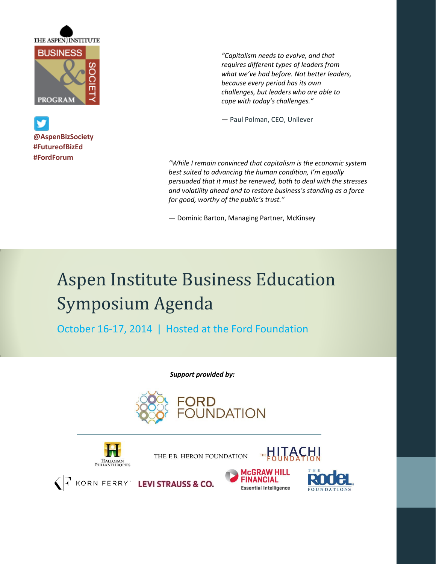

**@AspenBizSociety #FutureofBizEd #FordForum**

*"Capitalism needs to evolve, and that requires different types of leaders from what we've had before. Not better leaders, because every period has its own challenges, but leaders who are able to cope with today's challenges."* 

— Paul Polman, CEO, Unilever

*"While I remain convinced that capitalism is the economic system best suited to advancing the human condition, I'm equally persuaded that it must be renewed, both to deal with the stresses and volatility ahead and to restore business's standing as a force for good, worthy of the public's trust."*

— Dominic Barton, Managing Partner, McKinsey

## Aspen Institute Business Education Symposium Agenda

October 16-17, 2014 | Hosted at the Ford Foundation

 *Support provided by:*





THE F.B. HERON FOUNDATION



**LEVI STRAUSS & CO.** 



**THE HITACH!** 

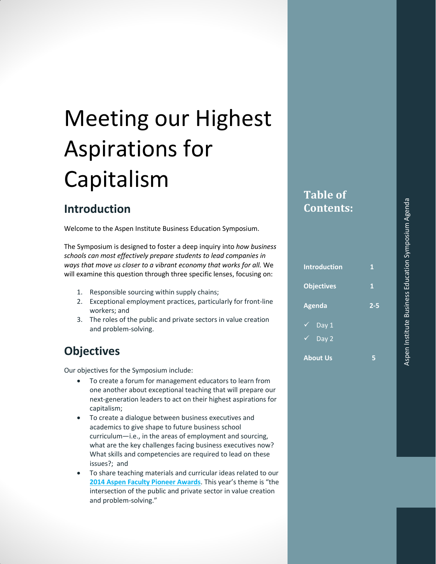# Meeting our Highest Aspirations for Capitalism

### **Introduction**

Welcome to the Aspen Institute Business Education Symposium.

The Symposium is designed to foster a deep inquiry into *how business schools can most effectively prepare students to lead companies in ways that move us closer to a vibrant economy that works for all.* We will examine this question through three specific lenses, focusing on:

- 1. Responsible sourcing within supply chains;
- 2. Exceptional employment practices, particularly for front-line workers; and
- 3. The roles of the public and private sectors in value creation and problem-solving.

### **Objectives**

Our objectives for the Symposium include:

- To create a forum for management educators to learn from one another about exceptional teaching that will prepare our next-generation leaders to act on their highest aspirations for capitalism;
- To create a dialogue between business executives and academics to give shape to future business school curriculum—i.e., in the areas of employment and sourcing, what are the key challenges facing business executives now? What skills and competencies are required to lead on these issues?; and
- To share teaching materials and curricular ideas related to our **[2014 Aspen Faculty Pioneer Awards](http://www.caseplace.org/d.asp?d=7276)**. This year's theme is "the intersection of the public and private sector in value creation and problem-solving."

### **Table of Contents:**

| <b>Introduction</b> | 1       |
|---------------------|---------|
| <b>Objectives</b>   | 1       |
| <b>Agenda</b>       | $2 - 5$ |
| Day 1<br>✓          |         |
| Day 2<br>✓.         |         |
| <b>About Us</b>     | 5       |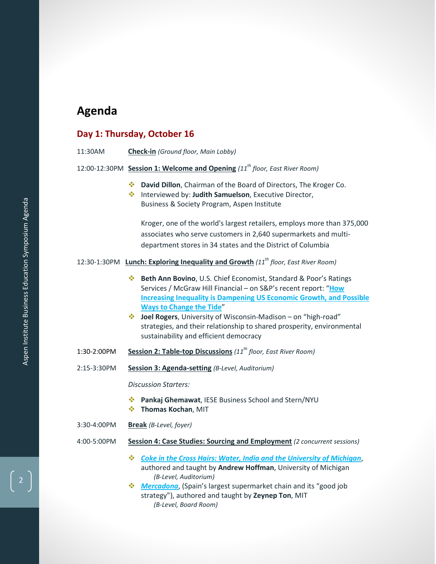### **Agenda**

#### **Day 1: Thursday, October 16**

| 11:30AM |  | <b>Check-in</b> (Ground floor, Main Lobby) |  |
|---------|--|--------------------------------------------|--|
|---------|--|--------------------------------------------|--|

- 12:00-12:30PM **Session 1: Welcome and Opening** *(11th floor, East River Room)*
	- **David Dillon**, Chairman of the Board of Directors, The Kroger Co.
	- Interviewed by: **Judith Samuelson**, Executive Director, Business & Society Program, Aspen Institute

Kroger, one of the world's largest retailers, employs more than 375,000 associates who serve customers in 2,640 supermarkets and multidepartment stores in 34 states and the District of Columbia

#### 12:30-1:30PM **Lunch: Exploring Inequality and Growth** *(11th floor, East River Room)*

- **Beth Ann Bovino**, U.S. Chief Economist, Standard & Poor's Ratings Services / McGraw Hill Financial – on S&P's recent report: "**[How](http://caseplace.org/d.asp?d=7385)  [Increasing Inequality is Dampening US Economic Growth, and Possible](http://caseplace.org/d.asp?d=7385)  [Ways to Change the Tide](http://caseplace.org/d.asp?d=7385)**"
- **Joel Rogers**, University of Wisconsin-Madison on "high-road" strategies, and their relationship to shared prosperity, environmental sustainability and efficient democracy
- 1:30-2:00PM **Session 2: Table-top Discussions** *(11th floor, East River Room)*
- 2:15-3:30PM **Session 3: Agenda-setting** *(B-Level, Auditorium)*

*Discussion Starters:*

- **Pankaj Ghemawat**, IESE Business School and Stern/NYU
- $\div$  Thomas Kochan, MIT
- 3:30-4:00PM **Break** *(B-Level, foyer)*
- 4:00-5:00PM **Session 4: Case Studies: Sourcing and Employment** *(2 concurrent sessions)*
	- *[Coke in the Cross Hairs: Water, India and the University of Michigan](http://caseplace.org/d.asp?d=6314)*, authored and taught by **Andrew Hoffman**, University of Michigan *(B-Level, Auditorium)*
	- *[Mercadona](http://www.caseplace.org/d.asp?d=5936)*, (Spain's largest supermarket chain and its "good job strategy"), authored and taught by **Zeynep Ton**, MIT *(B-Level, Board Room)*

2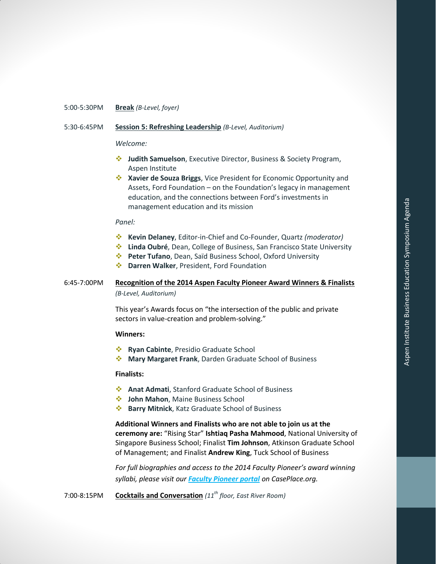#### 5:00-5:30PM **Break** *(B-Level, foyer)*

#### 5:30-6:45PM **Session 5: Refreshing Leadership** *(B-Level, Auditorium)*

#### *Welcome:*

- **Judith Samuelson**, Executive Director, Business & Society Program, Aspen Institute
- **Xavier de Souza Briggs**, Vice President for Economic Opportunity and Assets, Ford Foundation – on the Foundation's legacy in management education, and the connections between Ford's investments in management education and its mission

#### *Panel:*

- **Kevin Delaney**, Editor-in-Chief and Co-Founder, Quartz *(moderator)*
- **Linda Oubré**, Dean, College of Business, San Francisco State University
- **Peter Tufano**, Dean, Saïd Business School, Oxford University
- **Darren Walker**, President, Ford Foundation

#### 6:45-7:00PM **Recognition of the 2014 Aspen Faculty Pioneer Award Winners & Finalists** *(B-Level, Auditorium)*

This year's Awards focus on "the intersection of the public and private sectors in value-creation and problem-solving."

#### **Winners:**

- **Ryan Cabinte**, Presidio Graduate School
- **Mary Margaret Frank**, Darden Graduate School of Business

#### **Finalists:**

- **Anat Admati**, Stanford Graduate School of Business
- $\cdot$  John Mahon, Maine Business School
- **Barry Mitnick**, Katz Graduate School of Business

**Additional Winners and Finalists who are not able to join us at the ceremony are:** "Rising Star" **Ishtiaq Pasha Mahmood**, National University of Singapore Business School; Finalist **Tim Johnson**, Atkinson Graduate School of Management; and Finalist **Andrew King**, Tuck School of Business

*For full biographies and access to the 2014 Faculty Pioneer's award winning syllabi, please visit our [Faculty Pioneer portal](http://www.caseplace.org/d.asp?d=7276) on CasePlace.org.*

7:00-8:15PM **Cocktails and Conversation** *(11th floor, East River Room)*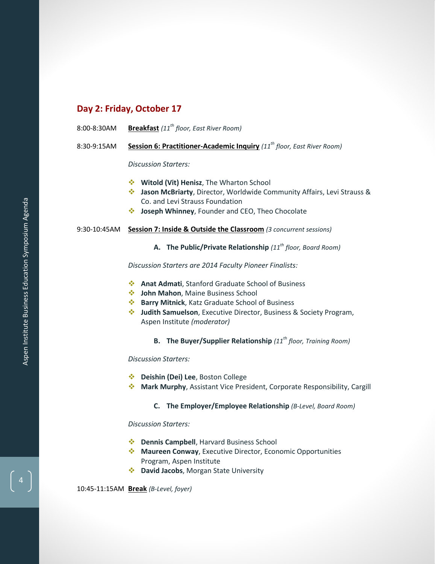#### **Day 2: Friday, October 17**

- 8:00-8:30AM **Breakfast** *(11th floor, East River Room)*
- 8:30-9:15AM **Session 6: Practitioner-Academic Inquiry** *(11th floor, East River Room)*

*Discussion Starters:*

- **Witold (Vit) Henisz**, The Wharton School
- **Jason McBriarty**, Director, Worldwide Community Affairs, Levi Strauss & Co. and Levi Strauss Foundation
- **Joseph Whinney**, Founder and CEO, Theo Chocolate

#### 9:30-10:45AM **Session 7: Inside & Outside the Classroom** *(3 concurrent sessions)*

#### **A. The Public/Private Relationship** *(11th floor, Board Room)*

*Discussion Starters are 2014 Faculty Pioneer Finalists:*

- **Anat Admati**, Stanford Graduate School of Business
- $\cdot$  John Mahon, Maine Business School
- **Barry Mitnick**, Katz Graduate School of Business
- **Judith Samuelson**, Executive Director, Business & Society Program, Aspen Institute *(moderator)*

#### **B. The Buyer/Supplier Relationship** *(11th floor, Training Room)*

*Discussion Starters:*

- **Deishin (Dei) Lee**, Boston College
- **Mark Murphy**, Assistant Vice President, Corporate Responsibility, Cargill

#### **C. The Employer/Employee Relationship** *(B-Level, Board Room)*

*Discussion Starters:*

- **Dennis Campbell**, Harvard Business School
- **Maureen Conway**, Executive Director, Economic Opportunities Program, Aspen Institute
- **David Jacobs**, Morgan State University

10:45-11:15AM **Break** *(B-Level, foyer)*